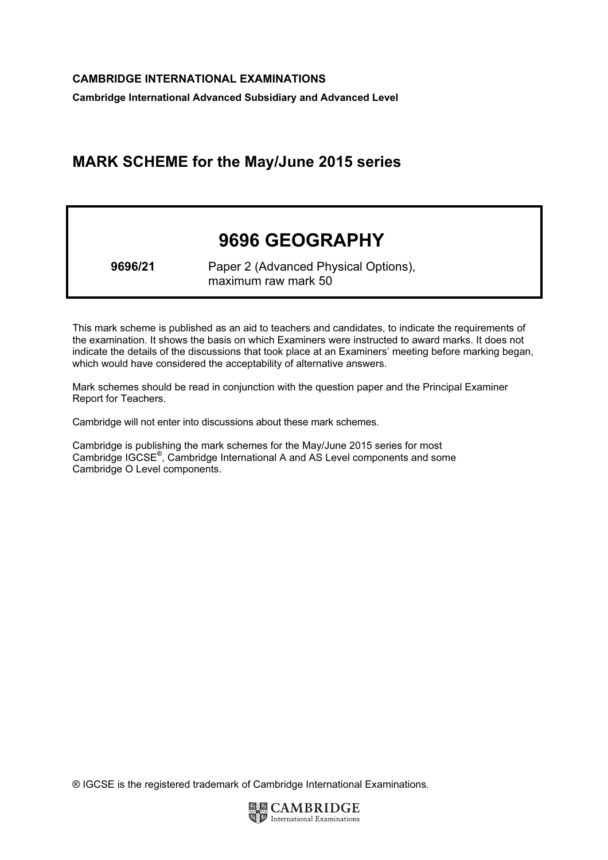Cambridge International Advanced Subsidiary and Advanced Level

# MARK SCHEME for the May/June 2015 series

# 9696 GEOGRAPHY

9696/21 Paper 2 (Advanced Physical Options), maximum raw mark 50

This mark scheme is published as an aid to teachers and candidates, to indicate the requirements of the examination. It shows the basis on which Examiners were instructed to award marks. It does not indicate the details of the discussions that took place at an Examiners' meeting before marking began, which would have considered the acceptability of alternative answers.

Mark schemes should be read in conjunction with the question paper and the Principal Examiner Report for Teachers.

Cambridge will not enter into discussions about these mark schemes.

Cambridge is publishing the mark schemes for the May/June 2015 series for most Cambridge IGCSE*®* , Cambridge International A and AS Level components and some Cambridge O Level components.

® IGCSE is the registered trademark of Cambridge International Examinations.

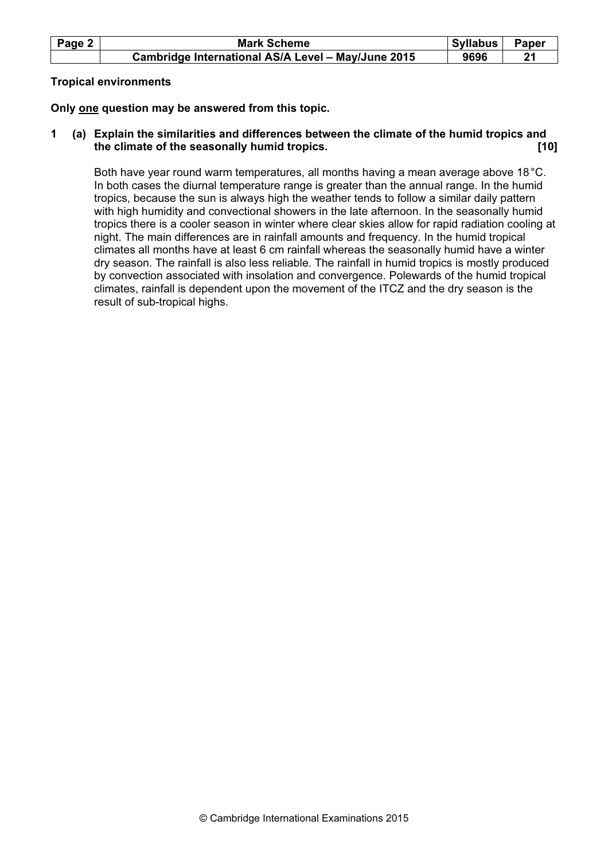| Page 2 | <b>Mark Scheme</b>                                 | Syllabus | <b>Paper</b> |
|--------|----------------------------------------------------|----------|--------------|
|        | Cambridge International AS/A Level - May/June 2015 | 9696     |              |

# Tropical environments

Only one question may be answered from this topic.

1 (a) Explain the similarities and differences between the climate of the humid tropics and the climate of the seasonally humid tropics. The climate of the seasonally humid tropics.

Both have year round warm temperatures, all months having a mean average above 18°C. In both cases the diurnal temperature range is greater than the annual range. In the humid tropics, because the sun is always high the weather tends to follow a similar daily pattern with high humidity and convectional showers in the late afternoon. In the seasonally humid tropics there is a cooler season in winter where clear skies allow for rapid radiation cooling at night. The main differences are in rainfall amounts and frequency. In the humid tropical climates all months have at least 6 cm rainfall whereas the seasonally humid have a winter dry season. The rainfall is also less reliable. The rainfall in humid tropics is mostly produced by convection associated with insolation and convergence. Polewards of the humid tropical climates, rainfall is dependent upon the movement of the ITCZ and the dry season is the result of sub-tropical highs.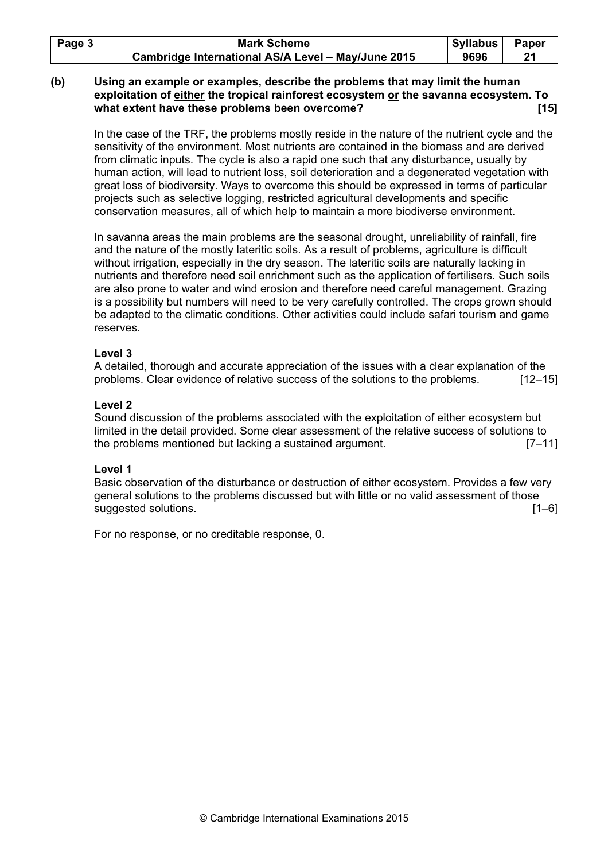| Page 3 l | <b>Mark Scheme</b>                                 | <b>Syllabus</b> | Paper |
|----------|----------------------------------------------------|-----------------|-------|
|          | Cambridge International AS/A Level - May/June 2015 | 9696            |       |

# (b) Using an example or examples, describe the problems that may limit the human exploitation of either the tropical rainforest ecosystem or the savanna ecosystem. To what extent have these problems been overcome? *Institute that*  $\blacksquare$  [15]

In the case of the TRF, the problems mostly reside in the nature of the nutrient cycle and the sensitivity of the environment. Most nutrients are contained in the biomass and are derived from climatic inputs. The cycle is also a rapid one such that any disturbance, usually by human action, will lead to nutrient loss, soil deterioration and a degenerated vegetation with great loss of biodiversity. Ways to overcome this should be expressed in terms of particular projects such as selective logging, restricted agricultural developments and specific conservation measures, all of which help to maintain a more biodiverse environment.

In savanna areas the main problems are the seasonal drought, unreliability of rainfall, fire and the nature of the mostly lateritic soils. As a result of problems, agriculture is difficult without irrigation, especially in the dry season. The lateritic soils are naturally lacking in nutrients and therefore need soil enrichment such as the application of fertilisers. Such soils are also prone to water and wind erosion and therefore need careful management. Grazing is a possibility but numbers will need to be very carefully controlled. The crops grown should be adapted to the climatic conditions. Other activities could include safari tourism and game reserves.

#### Level 3

A detailed, thorough and accurate appreciation of the issues with a clear explanation of the problems. Clear evidence of relative success of the solutions to the problems. [12–15]

# Level 2

Sound discussion of the problems associated with the exploitation of either ecosystem but limited in the detail provided. Some clear assessment of the relative success of solutions to the problems mentioned but lacking a sustained argument. [7–11]

# Level 1

Basic observation of the disturbance or destruction of either ecosystem. Provides a few very general solutions to the problems discussed but with little or no valid assessment of those suggested solutions. [1–6]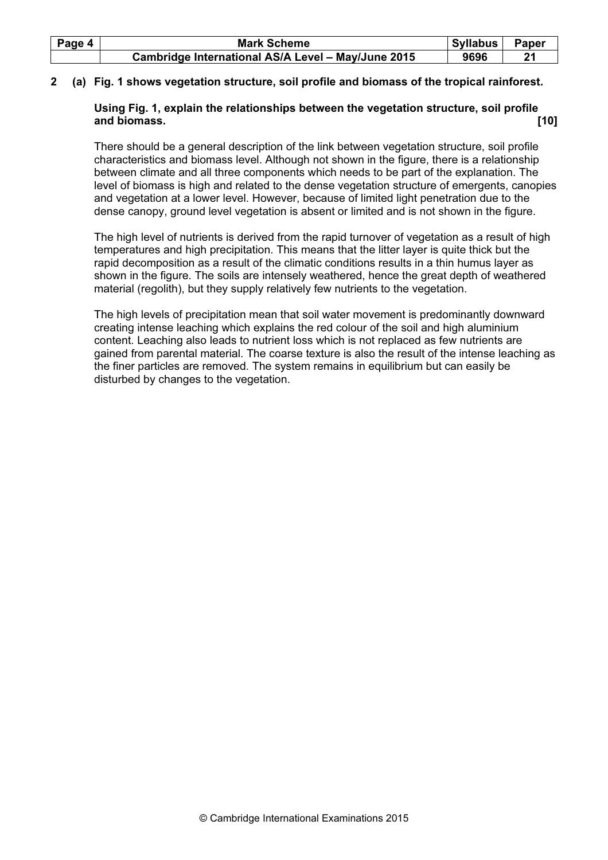| Page 4 | <b>Mark Scheme</b>                                 | Syllabus | Paper |
|--------|----------------------------------------------------|----------|-------|
|        | Cambridge International AS/A Level - May/June 2015 | 9696     |       |

# 2 (a) Fig. 1 shows vegetation structure, soil profile and biomass of the tropical rainforest.

# Using Fig. 1, explain the relationships between the vegetation structure, soil profile and biomass. [10]

There should be a general description of the link between vegetation structure, soil profile characteristics and biomass level. Although not shown in the figure, there is a relationship between climate and all three components which needs to be part of the explanation. The level of biomass is high and related to the dense vegetation structure of emergents, canopies and vegetation at a lower level. However, because of limited light penetration due to the dense canopy, ground level vegetation is absent or limited and is not shown in the figure.

The high level of nutrients is derived from the rapid turnover of vegetation as a result of high temperatures and high precipitation. This means that the litter layer is quite thick but the rapid decomposition as a result of the climatic conditions results in a thin humus layer as shown in the figure. The soils are intensely weathered, hence the great depth of weathered material (regolith), but they supply relatively few nutrients to the vegetation.

The high levels of precipitation mean that soil water movement is predominantly downward creating intense leaching which explains the red colour of the soil and high aluminium content. Leaching also leads to nutrient loss which is not replaced as few nutrients are gained from parental material. The coarse texture is also the result of the intense leaching as the finer particles are removed. The system remains in equilibrium but can easily be disturbed by changes to the vegetation.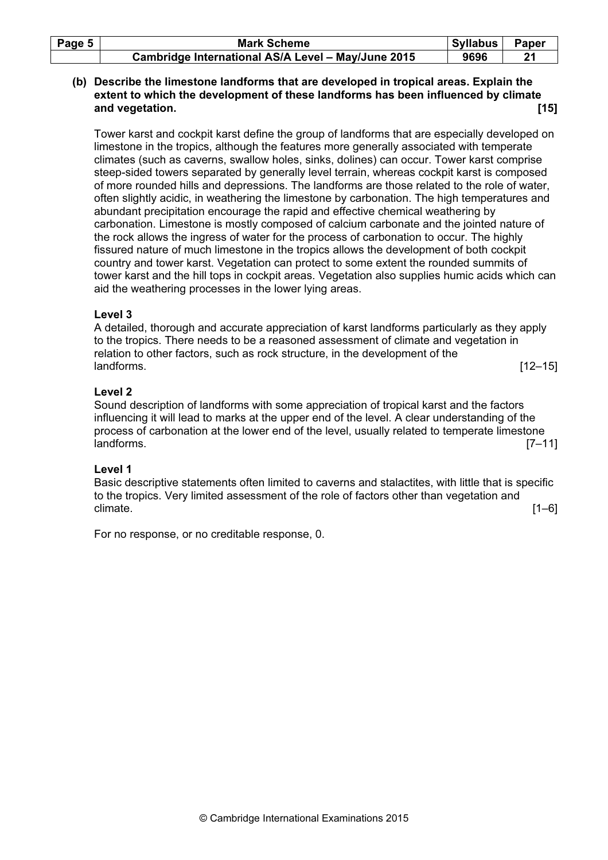| Page $5 \mid$ | <b>Mark Scheme</b>                                 | Syllabus | Paper |
|---------------|----------------------------------------------------|----------|-------|
|               | Cambridge International AS/A Level - May/June 2015 | 9696     |       |

# (b) Describe the limestone landforms that are developed in tropical areas. Explain the extent to which the development of these landforms has been influenced by climate and vegetation. **[15] and vegetation. [15]**

Tower karst and cockpit karst define the group of landforms that are especially developed on limestone in the tropics, although the features more generally associated with temperate climates (such as caverns, swallow holes, sinks, dolines) can occur. Tower karst comprise steep-sided towers separated by generally level terrain, whereas cockpit karst is composed of more rounded hills and depressions. The landforms are those related to the role of water, often slightly acidic, in weathering the limestone by carbonation. The high temperatures and abundant precipitation encourage the rapid and effective chemical weathering by carbonation. Limestone is mostly composed of calcium carbonate and the jointed nature of the rock allows the ingress of water for the process of carbonation to occur. The highly fissured nature of much limestone in the tropics allows the development of both cockpit country and tower karst. Vegetation can protect to some extent the rounded summits of tower karst and the hill tops in cockpit areas. Vegetation also supplies humic acids which can aid the weathering processes in the lower lying areas.

# Level 3

A detailed, thorough and accurate appreciation of karst landforms particularly as they apply to the tropics. There needs to be a reasoned assessment of climate and vegetation in relation to other factors, such as rock structure, in the development of the landforms. [12–15]

# Level 2

Sound description of landforms with some appreciation of tropical karst and the factors influencing it will lead to marks at the upper end of the level. A clear understanding of the process of carbonation at the lower end of the level, usually related to temperate limestone landforms. [7–11]

# Level 1

Basic descriptive statements often limited to caverns and stalactites, with little that is specific to the tropics. Very limited assessment of the role of factors other than vegetation and climate. [1–6]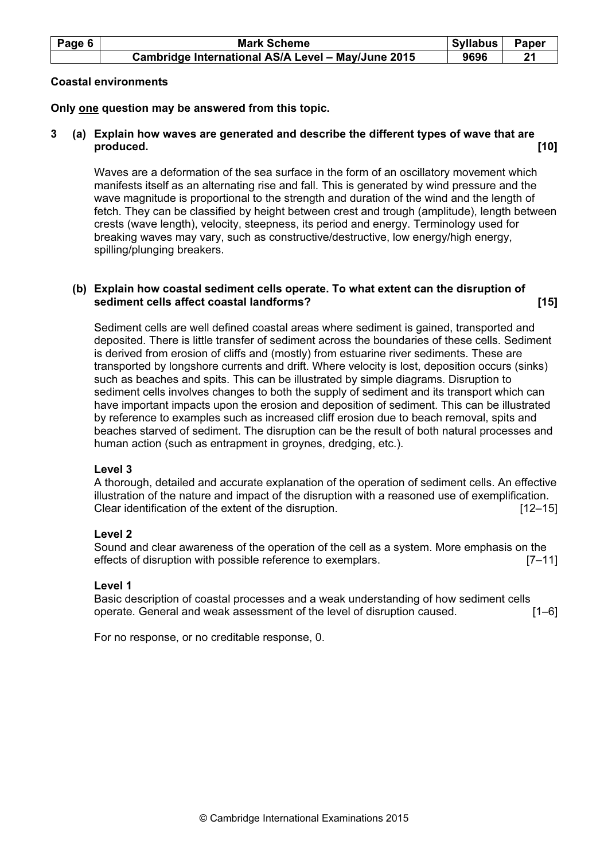| Page 6 | <b>Mark Scheme</b>                                 | Syllabus | Paper |
|--------|----------------------------------------------------|----------|-------|
|        | Cambridge International AS/A Level - May/June 2015 | 9696     |       |

#### Coastal environments

Only one question may be answered from this topic.

# 3 (a) Explain how waves are generated and describe the different types of wave that are produced. [10]

Waves are a deformation of the sea surface in the form of an oscillatory movement which manifests itself as an alternating rise and fall. This is generated by wind pressure and the wave magnitude is proportional to the strength and duration of the wind and the length of fetch. They can be classified by height between crest and trough (amplitude), length between crests (wave length), velocity, steepness, its period and energy. Terminology used for breaking waves may vary, such as constructive/destructive, low energy/high energy, spilling/plunging breakers.

# (b) Explain how coastal sediment cells operate. To what extent can the disruption of sediment cells affect coastal landforms? *notally* **example 15** and 15 and 15 and 15 and 15 and 15 and 15 and 15 and 15 and 15 and 15 and 15 and 15 and 15 and 15 and 15 and 15 and 15 and 15 and 15 and 16 and 16 and 16 an

Sediment cells are well defined coastal areas where sediment is gained, transported and deposited. There is little transfer of sediment across the boundaries of these cells. Sediment is derived from erosion of cliffs and (mostly) from estuarine river sediments. These are transported by longshore currents and drift. Where velocity is lost, deposition occurs (sinks) such as beaches and spits. This can be illustrated by simple diagrams. Disruption to sediment cells involves changes to both the supply of sediment and its transport which can have important impacts upon the erosion and deposition of sediment. This can be illustrated by reference to examples such as increased cliff erosion due to beach removal, spits and beaches starved of sediment. The disruption can be the result of both natural processes and human action (such as entrapment in groynes, dredging, etc.).

#### Level 3

A thorough, detailed and accurate explanation of the operation of sediment cells. An effective illustration of the nature and impact of the disruption with a reasoned use of exemplification. Clear identification of the extent of the disruption. [12–15]

# Level 2

Sound and clear awareness of the operation of the cell as a system. More emphasis on the effects of disruption with possible reference to exemplars. [7–11]

#### Level 1

Basic description of coastal processes and a weak understanding of how sediment cells operate. General and weak assessment of the level of disruption caused. [1–6]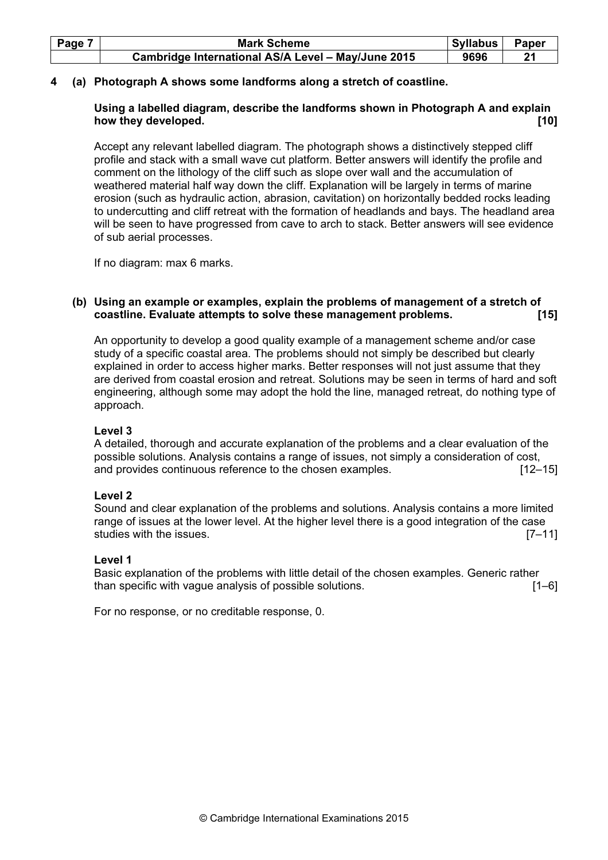| Page 7 | <b>Mark Scheme</b>                                 | <b>Syllabus</b> | Paper |
|--------|----------------------------------------------------|-----------------|-------|
|        | Cambridge International AS/A Level - May/June 2015 | 9696            |       |

# 4 (a) Photograph A shows some landforms along a stretch of coastline.

# Using a labelled diagram, describe the landforms shown in Photograph A and explain how they developed. **Example 20** and the set of the set of the set of the set of the set of the set of the set o

Accept any relevant labelled diagram. The photograph shows a distinctively stepped cliff profile and stack with a small wave cut platform. Better answers will identify the profile and comment on the lithology of the cliff such as slope over wall and the accumulation of weathered material half way down the cliff. Explanation will be largely in terms of marine erosion (such as hydraulic action, abrasion, cavitation) on horizontally bedded rocks leading to undercutting and cliff retreat with the formation of headlands and bays. The headland area will be seen to have progressed from cave to arch to stack. Better answers will see evidence of sub aerial processes.

If no diagram: max 6 marks.

# (b) Using an example or examples, explain the problems of management of a stretch of coastline. Evaluate attempts to solve these management problems. [15]

An opportunity to develop a good quality example of a management scheme and/or case study of a specific coastal area. The problems should not simply be described but clearly explained in order to access higher marks. Better responses will not just assume that they are derived from coastal erosion and retreat. Solutions may be seen in terms of hard and soft engineering, although some may adopt the hold the line, managed retreat, do nothing type of approach.

#### Level 3

A detailed, thorough and accurate explanation of the problems and a clear evaluation of the possible solutions. Analysis contains a range of issues, not simply a consideration of cost, and provides continuous reference to the chosen examples. [12–15]

#### Level 2

Sound and clear explanation of the problems and solutions. Analysis contains a more limited range of issues at the lower level. At the higher level there is a good integration of the case studies with the issues. **Example 20** is the interval of the interval of the interval of  $[7-11]$ 

#### Level 1

Basic explanation of the problems with little detail of the chosen examples. Generic rather than specific with vague analysis of possible solutions. **Example 20** [1–6]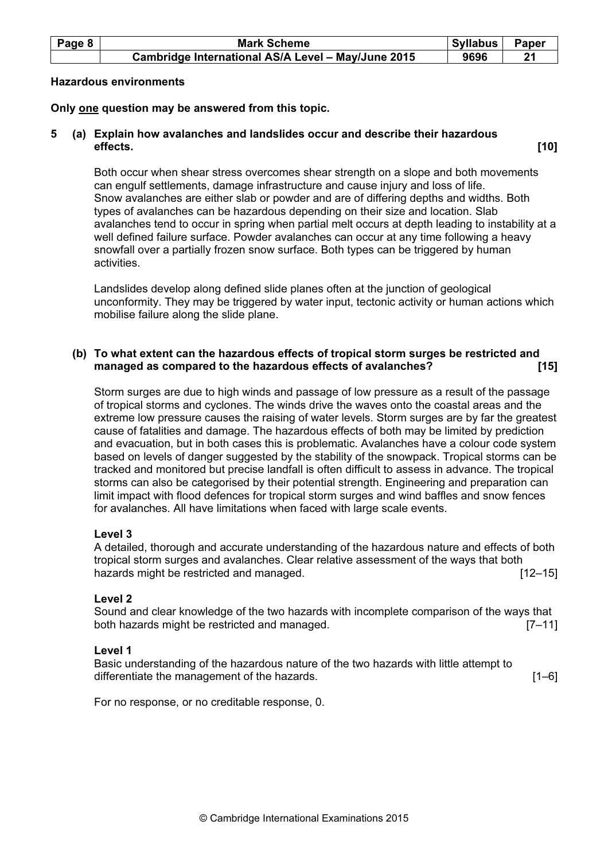| Page 8 | <b>Mark Scheme</b>                                 | Syllabus | Paper |
|--------|----------------------------------------------------|----------|-------|
|        | Cambridge International AS/A Level - May/June 2015 | 9696     |       |

#### Hazardous environments

#### Only one question may be answered from this topic.

# 5 (a) Explain how avalanches and landslides occur and describe their hazardous effects. [10]

Both occur when shear stress overcomes shear strength on a slope and both movements can engulf settlements, damage infrastructure and cause injury and loss of life. Snow avalanches are either slab or powder and are of differing depths and widths. Both types of avalanches can be hazardous depending on their size and location. Slab avalanches tend to occur in spring when partial melt occurs at depth leading to instability at a well defined failure surface. Powder avalanches can occur at any time following a heavy snowfall over a partially frozen snow surface. Both types can be triggered by human activities.

Landslides develop along defined slide planes often at the junction of geological unconformity. They may be triggered by water input, tectonic activity or human actions which mobilise failure along the slide plane.

#### (b) To what extent can the hazardous effects of tropical storm surges be restricted and managed as compared to the hazardous effects of avalanches? **[15]** [15]

Storm surges are due to high winds and passage of low pressure as a result of the passage of tropical storms and cyclones. The winds drive the waves onto the coastal areas and the extreme low pressure causes the raising of water levels. Storm surges are by far the greatest cause of fatalities and damage. The hazardous effects of both may be limited by prediction and evacuation, but in both cases this is problematic. Avalanches have a colour code system based on levels of danger suggested by the stability of the snowpack. Tropical storms can be tracked and monitored but precise landfall is often difficult to assess in advance. The tropical storms can also be categorised by their potential strength. Engineering and preparation can limit impact with flood defences for tropical storm surges and wind baffles and snow fences for avalanches. All have limitations when faced with large scale events.

#### Level 3

A detailed, thorough and accurate understanding of the hazardous nature and effects of both tropical storm surges and avalanches. Clear relative assessment of the ways that both hazards might be restricted and managed. **Example 20** in the state of the state of the state of the hazards in the state of the state of the state of the state of the state of the state of the state of the state of the sta

#### Level 2

Sound and clear knowledge of the two hazards with incomplete comparison of the ways that both hazards might be restricted and managed. [7–11]

#### Level 1

Basic understanding of the hazardous nature of the two hazards with little attempt to differentiate the management of the hazards. **Example 20** in the state of the hazards.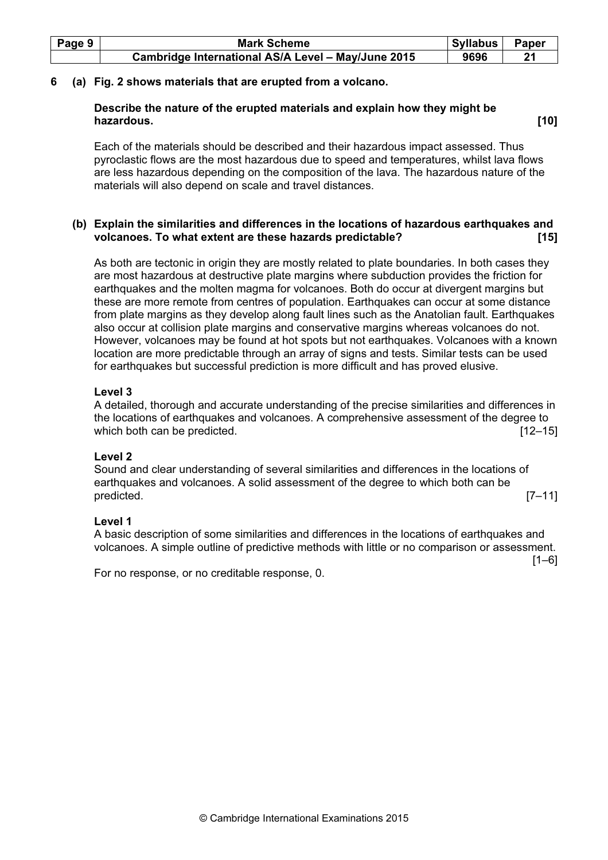| Page 9 | <b>Mark Scheme</b>                                 | <b>Syllabus</b> | Paper |
|--------|----------------------------------------------------|-----------------|-------|
|        | Cambridge International AS/A Level - May/June 2015 | 9696            | 21    |

#### 6 (a) Fig. 2 shows materials that are erupted from a volcano.

#### Describe the nature of the erupted materials and explain how they might be hazardous. [10]

Each of the materials should be described and their hazardous impact assessed. Thus pyroclastic flows are the most hazardous due to speed and temperatures, whilst lava flows are less hazardous depending on the composition of the lava. The hazardous nature of the materials will also depend on scale and travel distances.

# (b) Explain the similarities and differences in the locations of hazardous earthquakes and volcanoes. To what extent are these hazards predictable? [15]

As both are tectonic in origin they are mostly related to plate boundaries. In both cases they are most hazardous at destructive plate margins where subduction provides the friction for earthquakes and the molten magma for volcanoes. Both do occur at divergent margins but these are more remote from centres of population. Earthquakes can occur at some distance from plate margins as they develop along fault lines such as the Anatolian fault. Earthquakes also occur at collision plate margins and conservative margins whereas volcanoes do not. However, volcanoes may be found at hot spots but not earthquakes. Volcanoes with a known location are more predictable through an array of signs and tests. Similar tests can be used for earthquakes but successful prediction is more difficult and has proved elusive.

# Level 3

A detailed, thorough and accurate understanding of the precise similarities and differences in the locations of earthquakes and volcanoes. A comprehensive assessment of the degree to which both can be predicted. **Example 20** is a set of the set of the set of the set of the set of the set of the set of the set of the set of the set of the set of the set of the set of the set of the set of the set of the

#### Level 2

Sound and clear understanding of several similarities and differences in the locations of earthquakes and volcanoes. A solid assessment of the degree to which both can be predicted. [7–11]

#### Level 1

A basic description of some similarities and differences in the locations of earthquakes and volcanoes. A simple outline of predictive methods with little or no comparison or assessment.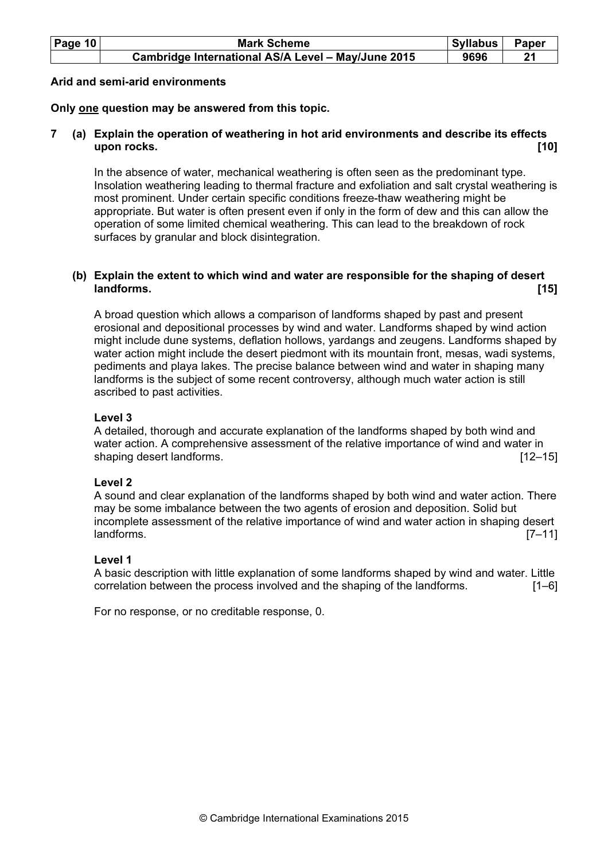| Page $10$ | <b>Mark Scheme</b>                                 | <b>Syllabus</b> | Paper |
|-----------|----------------------------------------------------|-----------------|-------|
|           | Cambridge International AS/A Level - May/June 2015 | 9696            |       |

#### Arid and semi-arid environments

# Only one question may be answered from this topic.

# 7 (a) Explain the operation of weathering in hot arid environments and describe its effects upon rocks. [10]

In the absence of water, mechanical weathering is often seen as the predominant type. Insolation weathering leading to thermal fracture and exfoliation and salt crystal weathering is most prominent. Under certain specific conditions freeze-thaw weathering might be appropriate. But water is often present even if only in the form of dew and this can allow the operation of some limited chemical weathering. This can lead to the breakdown of rock surfaces by granular and block disintegration.

# (b) Explain the extent to which wind and water are responsible for the shaping of desert<br>11 landforms. [15]

A broad question which allows a comparison of landforms shaped by past and present erosional and depositional processes by wind and water. Landforms shaped by wind action might include dune systems, deflation hollows, yardangs and zeugens. Landforms shaped by water action might include the desert piedmont with its mountain front, mesas, wadi systems, pediments and playa lakes. The precise balance between wind and water in shaping many landforms is the subject of some recent controversy, although much water action is still ascribed to past activities.

# Level 3

A detailed, thorough and accurate explanation of the landforms shaped by both wind and water action. A comprehensive assessment of the relative importance of wind and water in shaping desert landforms. [12–15]

#### Level 2

A sound and clear explanation of the landforms shaped by both wind and water action. There may be some imbalance between the two agents of erosion and deposition. Solid but incomplete assessment of the relative importance of wind and water action in shaping desert landforms. [7–11]

#### Level 1

A basic description with little explanation of some landforms shaped by wind and water. Little correlation between the process involved and the shaping of the landforms. [1–6]